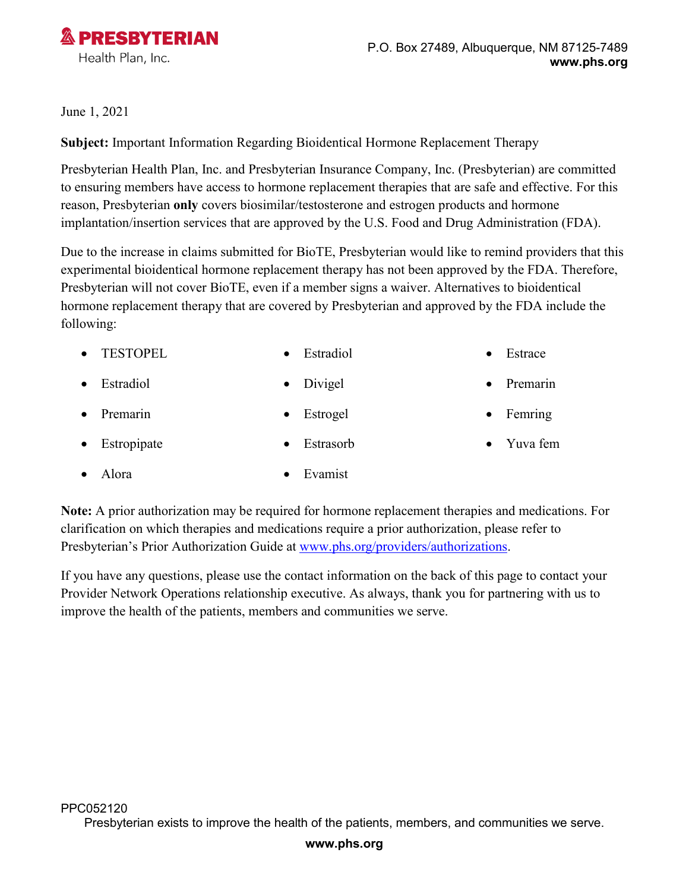

## June 1, 2021

**Subject:** Important Information Regarding Bioidentical Hormone Replacement Therapy

Presbyterian Health Plan, Inc. and Presbyterian Insurance Company, Inc. (Presbyterian) are committed to ensuring members have access to hormone replacement therapies that are safe and effective. For this reason, Presbyterian **only** covers biosimilar/testosterone and estrogen products and hormone implantation/insertion services that are approved by the U.S. Food and Drug Administration (FDA).

Due to the increase in claims submitted for BioTE, Presbyterian would like to remind providers that this experimental bioidentical hormone replacement therapy has not been approved by the FDA. Therefore, Presbyterian will not cover BioTE, even if a member signs a waiver. Alternatives to bioidentical hormone replacement therapy that are covered by Presbyterian and approved by the FDA include the following:

| • TESTOPEL | Estradiol | $\bullet$ Estrace |
|------------|-----------|-------------------|
|            |           |                   |

- Estradiol Divigel Premarin
- Premarin Estrogel
- Estropipate Estrasorb
	-
- Femring
- Yuva fem

• Alora • Evamist

**Note:** A prior authorization may be required for hormone replacement therapies and medications. For clarification on which therapies and medications require a prior authorization, please refer to Presbyterian's Prior Authorization Guide at www.phs.org/providers/authorizations.

If you have any questions, please use the contact information on the back of this page to contact your Provider Network Operations relationship executive. As always, thank you for partnering with us to improve the health of the patients, members and communities we serve.